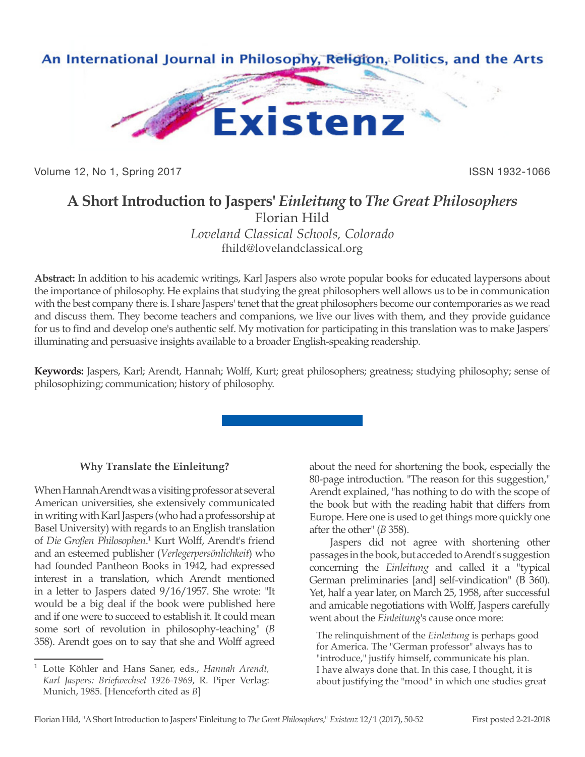

Volume 12, No 1, Spring 2017 **ISSN 1932-1066** 

## **A Short Introduction to Jaspers'** *Einleitung* **to** *The Great Philosophers*

Florian Hild *Loveland Classical Schools, Colorado* fhild@lovelandclassical.org

**Abstract:** In addition to his academic writings, Karl Jaspers also wrote popular books for educated laypersons about the importance of philosophy. He explains that studying the great philosophers well allows us to be in communication with the best company there is. I share Jaspers' tenet that the great philosophers become our contemporaries as we read and discuss them. They become teachers and companions, we live our lives with them, and they provide guidance for us to find and develop one's authentic self. My motivation for participating in this translation was to make Jaspers' illuminating and persuasive insights available to a broader English-speaking readership.

**Keywords:** Jaspers, Karl; Arendt, Hannah; Wolff, Kurt; great philosophers; greatness; studying philosophy; sense of philosophizing; communication; history of philosophy.

## **Why Translate the Einleitung?**

When Hannah Arendt was a visiting professor at several American universities, she extensively communicated in writing with Karl Jaspers (who had a professorship at Basel University) with regards to an English translation of *Die Großen Philosophen*.<sup>1</sup> Kurt Wolff, Arendt's friend and an esteemed publisher (*Verlegerpersönlichkeit*) who had founded Pantheon Books in 1942, had expressed interest in a translation, which Arendt mentioned in a letter to Jaspers dated 9/16/1957. She wrote: "It would be a big deal if the book were published here and if one were to succeed to establish it. It could mean some sort of revolution in philosophy-teaching" (*B* 358). Arendt goes on to say that she and Wolff agreed about the need for shortening the book, especially the 80-page introduction. "The reason for this suggestion," Arendt explained, "has nothing to do with the scope of the book but with the reading habit that differs from Europe. Here one is used to get things more quickly one after the other" (*B* 358).

Jaspers did not agree with shortening other passages in the book, but acceded to Arendt's suggestion concerning the *Einleitung* and called it a "typical German preliminaries [and] self-vindication" (B 360). Yet, half a year later, on March 25, 1958, after successful and amicable negotiations with Wolff, Jaspers carefully went about the *Einleitung*'s cause once more:

The relinquishment of the *Einleitung* is perhaps good for America. The "German professor" always has to "introduce," justify himself, communicate his plan. I have always done that. In this case, I thought, it is about justifying the "mood" in which one studies great

<sup>1</sup> Lotte Köhler and Hans Saner, eds., *Hannah Arendt, Karl Jaspers: Briefwechsel 1926-1969*, R. Piper Verlag: Munich, 1985. [Henceforth cited as *B*]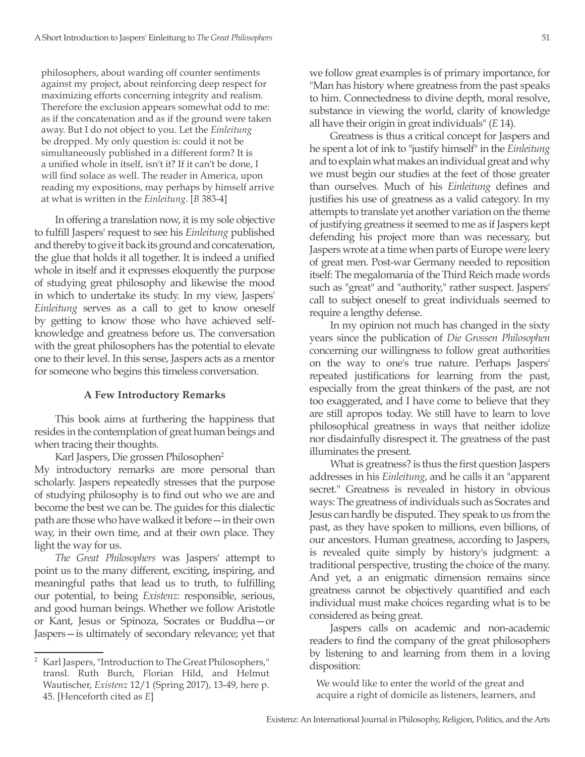philosophers, about warding off counter sentiments against my project, about reinforcing deep respect for maximizing efforts concerning integrity and realism. Therefore the exclusion appears somewhat odd to me: as if the concatenation and as if the ground were taken away. But I do not object to you. Let the *Einleitung* be dropped. My only question is: could it not be simultaneously published in a different form? It is a unified whole in itself, isn't it? If it can't be done, I will find solace as well. The reader in America, upon reading my expositions, may perhaps by himself arrive at what is written in the *Einleitung*. [*B* 383-4]

In offering a translation now, it is my sole objective to fulfill Jaspers' request to see his *Einleitung* published and thereby to give it back its ground and concatenation, the glue that holds it all together. It is indeed a unified whole in itself and it expresses eloquently the purpose of studying great philosophy and likewise the mood in which to undertake its study. In my view, Jaspers' *Einleitung* serves as a call to get to know oneself by getting to know those who have achieved selfknowledge and greatness before us. The conversation with the great philosophers has the potential to elevate one to their level. In this sense, Jaspers acts as a mentor for someone who begins this timeless conversation.

## **A Few Introductory Remarks**

This book aims at furthering the happiness that resides in the contemplation of great human beings and when tracing their thoughts.

Karl Jaspers, Die grossen Philosophen<sup>2</sup>

My introductory remarks are more personal than scholarly. Jaspers repeatedly stresses that the purpose of studying philosophy is to find out who we are and become the best we can be. The guides for this dialectic path are those who have walked it before—in their own way, in their own time, and at their own place. They light the way for us.

*The Great Philosophers* was Jaspers' attempt to point us to the many different, exciting, inspiring, and meaningful paths that lead us to truth, to fulfilling our potential, to being *Existenz*: responsible, serious, and good human beings. Whether we follow Aristotle or Kant, Jesus or Spinoza, Socrates or Buddha—or Jaspers—is ultimately of secondary relevance; yet that we follow great examples is of primary importance, for "Man has history where greatness from the past speaks to him. Connectedness to divine depth, moral resolve, substance in viewing the world, clarity of knowledge all have their origin in great individuals" (*E* 14).

Greatness is thus a critical concept for Jaspers and he spent a lot of ink to "justify himself" in the *Einleitung*  and to explain what makes an individual great and why we must begin our studies at the feet of those greater than ourselves. Much of his *Einleitung* defines and justifies his use of greatness as a valid category. In my attempts to translate yet another variation on the theme of justifying greatness it seemed to me as if Jaspers kept defending his project more than was necessary, but Jaspers wrote at a time when parts of Europe were leery of great men. Post-war Germany needed to reposition itself: The megalomania of the Third Reich made words such as "great" and "authority," rather suspect. Jaspers' call to subject oneself to great individuals seemed to require a lengthy defense.

In my opinion not much has changed in the sixty years since the publication of *Die Grossen Philosophen* concerning our willingness to follow great authorities on the way to one's true nature. Perhaps Jaspers' repeated justifications for learning from the past, especially from the great thinkers of the past, are not too exaggerated, and I have come to believe that they are still apropos today. We still have to learn to love philosophical greatness in ways that neither idolize nor disdainfully disrespect it. The greatness of the past illuminates the present.

What is greatness? is thus the first question Jaspers addresses in his *Einleitung*, and he calls it an "apparent secret." Greatness is revealed in history in obvious ways: The greatness of individuals such as Socrates and Jesus can hardly be disputed. They speak to us from the past, as they have spoken to millions, even billions, of our ancestors. Human greatness, according to Jaspers, is revealed quite simply by history's judgment: a traditional perspective, trusting the choice of the many. And yet, a an enigmatic dimension remains since greatness cannot be objectively quantified and each individual must make choices regarding what is to be considered as being great.

Jaspers calls on academic and non-academic readers to find the company of the great philosophers by listening to and learning from them in a loving disposition:

We would like to enter the world of the great and acquire a right of domicile as listeners, learners, and

<sup>2</sup> Karl Jaspers, "Introduction to The Great Philosophers," transl. Ruth Burch, Florian Hild, and Helmut Wautischer, *Existenz* 12/1 (Spring 2017), 13-49, here p. 45. [Henceforth cited as *E*]